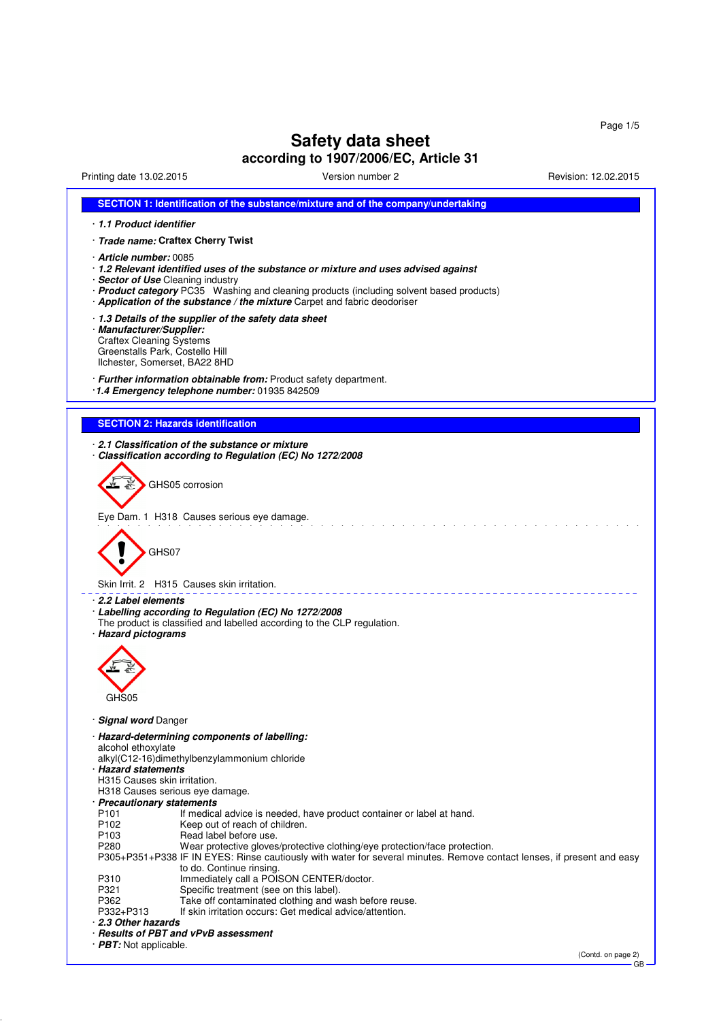GB

# **Safety data sheet**

# **according to 1907/2006/EC, Article 31**

Printing date 13.02.2015 Version number 2 Revision: 12.02.2015

| SECTION 1: Identification of the substance/mixture and of the company/undertaking                                                                                                                                                                                                                                                  |
|------------------------------------------------------------------------------------------------------------------------------------------------------------------------------------------------------------------------------------------------------------------------------------------------------------------------------------|
| 1.1 Product identifier                                                                                                                                                                                                                                                                                                             |
| · Trade name: Craftex Cherry Twist                                                                                                                                                                                                                                                                                                 |
| · <b>Article number:</b> 0085<br>· 1.2 Relevant identified uses of the substance or mixture and uses advised against<br>· Sector of Use Cleaning industry<br>· Product category PC35 Washing and cleaning products (including solvent based products)<br>· Application of the substance / the mixture Carpet and fabric deodoriser |
| 1.3 Details of the supplier of the safety data sheet<br>· Manufacturer/Supplier:<br><b>Craftex Cleaning Systems</b><br>Greenstalls Park, Costello Hill<br>Ilchester, Somerset, BA22 8HD                                                                                                                                            |
| · Further information obtainable from: Product safety department.<br>1.4 Emergency telephone number: 01935 842509                                                                                                                                                                                                                  |
|                                                                                                                                                                                                                                                                                                                                    |
| <b>SECTION 2: Hazards identification</b>                                                                                                                                                                                                                                                                                           |
| 2.1 Classification of the substance or mixture<br>Classification according to Regulation (EC) No 1272/2008<br>GHS05 corrosion                                                                                                                                                                                                      |
|                                                                                                                                                                                                                                                                                                                                    |
| Eye Dam. 1 H318 Causes serious eye damage.<br>GHS07                                                                                                                                                                                                                                                                                |
| Skin Irrit, 2 H315 Causes skin irritation.                                                                                                                                                                                                                                                                                         |
| · 2.2 Label elements                                                                                                                                                                                                                                                                                                               |
| · Labelling according to Regulation (EC) No 1272/2008<br>The product is classified and labelled according to the CLP regulation.<br>· Hazard pictograms                                                                                                                                                                            |
|                                                                                                                                                                                                                                                                                                                                    |
|                                                                                                                                                                                                                                                                                                                                    |
|                                                                                                                                                                                                                                                                                                                                    |
| GHS05                                                                                                                                                                                                                                                                                                                              |
| · Signal word Danger                                                                                                                                                                                                                                                                                                               |
| · Hazard-determining components of labelling:<br>alcohol ethoxylate                                                                                                                                                                                                                                                                |
| alkyl(C12-16)dimethylbenzylammonium chloride<br>· Hazard statements                                                                                                                                                                                                                                                                |
| H315 Causes skin irritation.                                                                                                                                                                                                                                                                                                       |
| H318 Causes serious eye damage.<br>· Precautionary statements                                                                                                                                                                                                                                                                      |
| P101<br>If medical advice is needed, have product container or label at hand.                                                                                                                                                                                                                                                      |
| P102<br>Keep out of reach of children.<br>P <sub>103</sub><br>Read label before use.                                                                                                                                                                                                                                               |
| P280<br>Wear protective gloves/protective clothing/eye protection/face protection.<br>P305+P351+P338 IF IN EYES: Rinse cautiously with water for several minutes. Remove contact lenses, if present and easy<br>to do. Continue rinsing.                                                                                           |
| Immediately call a POISON CENTER/doctor.<br>P310                                                                                                                                                                                                                                                                                   |
| P321<br>Specific treatment (see on this label).<br>P362<br>Take off contaminated clothing and wash before reuse.                                                                                                                                                                                                                   |
| If skin irritation occurs: Get medical advice/attention.<br>P332+P313                                                                                                                                                                                                                                                              |
| 2.3 Other hazards<br>· Results of PBT and vPvB assessment                                                                                                                                                                                                                                                                          |
| $\cdot$ <b>PBT:</b> Not applicable.                                                                                                                                                                                                                                                                                                |
| (Contd. on page 2)                                                                                                                                                                                                                                                                                                                 |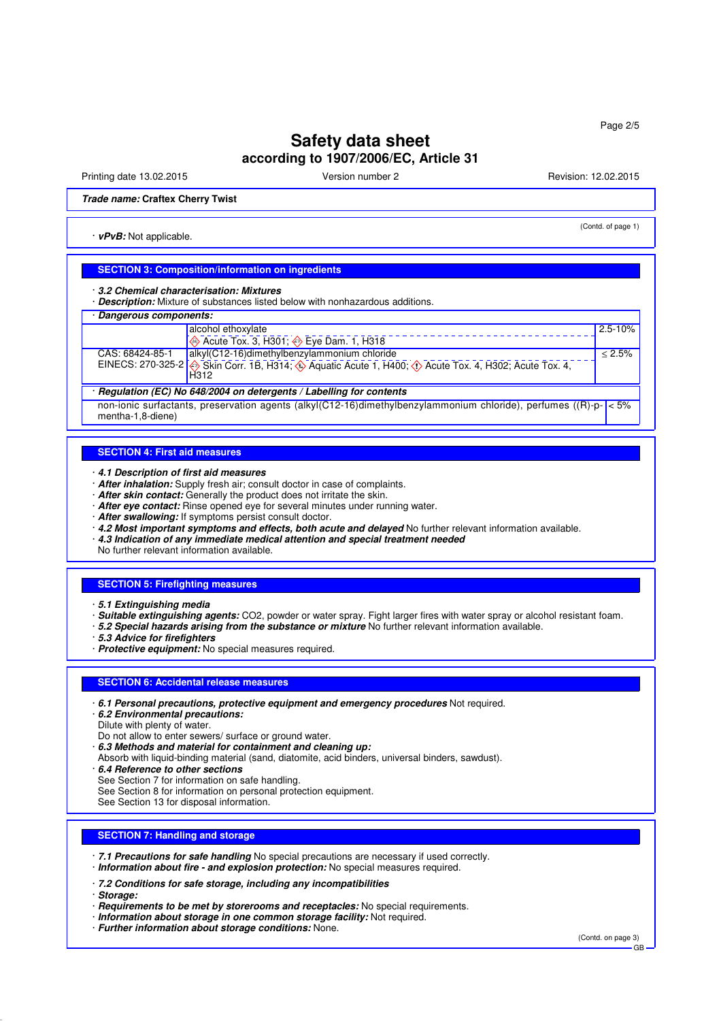# **Safety data sheet according to 1907/2006/EC, Article 31**

Printing date 13.02.2015 Version number 2 Revision: 12.02.2015

(Contd. of page 1)

**Trade name: Craftex Cherry Twist**

· **vPvB:** Not applicable.

### **SECTION 3: Composition/information on ingredients**

· **3.2 Chemical characterisation: Mixtures**

· **Description:** Mixture of substances listed below with nonhazardous additions.

| Dangerous components:                                                                                                                         |                                                                                                                               |             |  |  |
|-----------------------------------------------------------------------------------------------------------------------------------------------|-------------------------------------------------------------------------------------------------------------------------------|-------------|--|--|
|                                                                                                                                               | alcohol ethoxylate                                                                                                            | $2.5 - 10%$ |  |  |
|                                                                                                                                               | Acute Tox. 3, H301; $\overline{\diamond}$ Eye Dam. 1, H318                                                                    |             |  |  |
| CAS: 68424-85-1                                                                                                                               | alkyl(C12-16)dimethylbenzylammonium chloride                                                                                  | $< 2.5\%$   |  |  |
|                                                                                                                                               | EINECS: 270-325-2 $\otimes$ Skin Corr. 1B, H314, $\otimes$ Aquatic Acute 1, H400, $\otimes$ Acute Tox. 4, H302, Acute Tox. 4, |             |  |  |
| Regulation (EC) No 648/2004 on detergents / Labelling for contents                                                                            |                                                                                                                               |             |  |  |
| non-ionic surfactants, preservation agents (alkyl(C12-16)dimethylbenzylammonium chloride), perfumes ((R)-p- $\vert$ < 5%<br>mentha-1,8-diene) |                                                                                                                               |             |  |  |

#### **SECTION 4: First aid measures**

· **4.1 Description of first aid measures**

- · **After inhalation:** Supply fresh air; consult doctor in case of complaints.
- · **After skin contact:** Generally the product does not irritate the skin.
- · **After eye contact:** Rinse opened eye for several minutes under running water.
- · **After swallowing:** If symptoms persist consult doctor.
- · **4.2 Most important symptoms and effects, both acute and delayed** No further relevant information available.
- · **4.3 Indication of any immediate medical attention and special treatment needed**

No further relevant information available.

### **SECTION 5: Firefighting measures**

- · **5.1 Extinguishing media**
- · **Suitable extinguishing agents:** CO2, powder or water spray. Fight larger fires with water spray or alcohol resistant foam.
- · **5.2 Special hazards arising from the substance or mixture** No further relevant information available.

· **5.3 Advice for firefighters**

· **Protective equipment:** No special measures required.

#### **SECTION 6: Accidental release measures**

- · **6.1 Personal precautions, protective equipment and emergency procedures** Not required.
- · **6.2 Environmental precautions:**
- Dilute with plenty of water.
- Do not allow to enter sewers/ surface or ground water.
- · **6.3 Methods and material for containment and cleaning up:**
- Absorb with liquid-binding material (sand, diatomite, acid binders, universal binders, sawdust).

· **6.4 Reference to other sections**

- See Section 7 for information on safe handling.
- See Section 8 for information on personal protection equipment.

See Section 13 for disposal information.

#### **SECTION 7: Handling and storage**

· **7.1 Precautions for safe handling** No special precautions are necessary if used correctly. · **Information about fire - and explosion protection:** No special measures required.

· **7.2 Conditions for safe storage, including any incompatibilities**

- · **Storage:**
- · **Requirements to be met by storerooms and receptacles:** No special requirements.
- · **Information about storage in one common storage facility:** Not required.
- · **Further information about storage conditions:** None.

(Contd. on page 3)

GB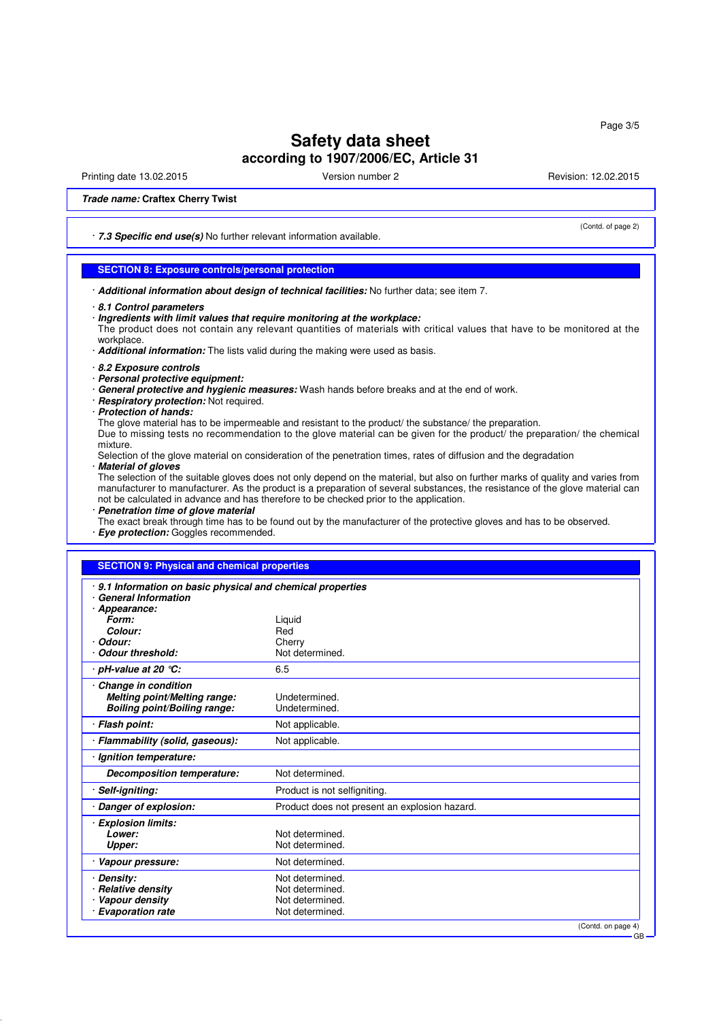Page 3/5

# **Safety data sheet according to 1907/2006/EC, Article 31**

Printing date 13.02.2015 Version number 2 Revision: 12.02.2015

(Contd. of page 2)

### **Trade name: Craftex Cherry Twist**

· **7.3 Specific end use(s)** No further relevant information available.

### **SECTION 8: Exposure controls/personal protection**

· **Additional information about design of technical facilities:** No further data; see item 7.

· **Ingredients with limit values that require monitoring at the workplace:**

The product does not contain any relevant quantities of materials with critical values that have to be monitored at the workplace.

- · **Additional information:** The lists valid during the making were used as basis.
- · **8.2 Exposure controls**
- · **Personal protective equipment:**
- · **General protective and hygienic measures:** Wash hands before breaks and at the end of work.
- · **Respiratory protection:** Not required.
- · **Protection of hands:**

The glove material has to be impermeable and resistant to the product/ the substance/ the preparation. Due to missing tests no recommendation to the glove material can be given for the product/ the preparation/ the chemical mixture.

Selection of the glove material on consideration of the penetration times, rates of diffusion and the degradation · **Material of gloves**

The selection of the suitable gloves does not only depend on the material, but also on further marks of quality and varies from manufacturer to manufacturer. As the product is a preparation of several substances, the resistance of the glove material can not be calculated in advance and has therefore to be checked prior to the application.

· **Penetration time of glove material**

The exact break through time has to be found out by the manufacturer of the protective gloves and has to be observed. · **Eye protection:** Goggles recommended.

### **SECTION 9: Physical and chemical properties**

| 9.1 Information on basic physical and chemical properties<br><b>General Information</b> |                                               |  |
|-----------------------------------------------------------------------------------------|-----------------------------------------------|--|
| Appearance:                                                                             |                                               |  |
| Form:                                                                                   | Liquid                                        |  |
| Colour:                                                                                 | Red                                           |  |
| Odour:                                                                                  | Cherry                                        |  |
| <b>Odour threshold:</b>                                                                 | Not determined.                               |  |
| · pH-value at 20 ℃:                                                                     | 6.5                                           |  |
| Change in condition                                                                     |                                               |  |
| Melting point/Melting range:                                                            | Undetermined.                                 |  |
| <b>Boiling point/Boiling range:</b>                                                     | Undetermined.                                 |  |
| · Flash point:                                                                          | Not applicable.                               |  |
| · Flammability (solid, gaseous):                                                        | Not applicable.                               |  |
| · Ignition temperature:                                                                 |                                               |  |
| <b>Decomposition temperature:</b>                                                       | Not determined.                               |  |
| Self-igniting:                                                                          | Product is not selfigniting.                  |  |
| Danger of explosion:                                                                    | Product does not present an explosion hazard. |  |
| <b>Explosion limits:</b>                                                                |                                               |  |
| Lower:                                                                                  | Not determined.                               |  |
| Upper:                                                                                  | Not determined.                               |  |
| · Vapour pressure:                                                                      | Not determined.                               |  |
| <b>Density:</b>                                                                         | Not determined.                               |  |
| <b>Relative density</b>                                                                 | Not determined.                               |  |
| Vapour density                                                                          | Not determined.                               |  |
| <b>Evaporation rate</b>                                                                 | Not determined.                               |  |
|                                                                                         | (Contd. on page 4)                            |  |

GB

<sup>·</sup> **8.1 Control parameters**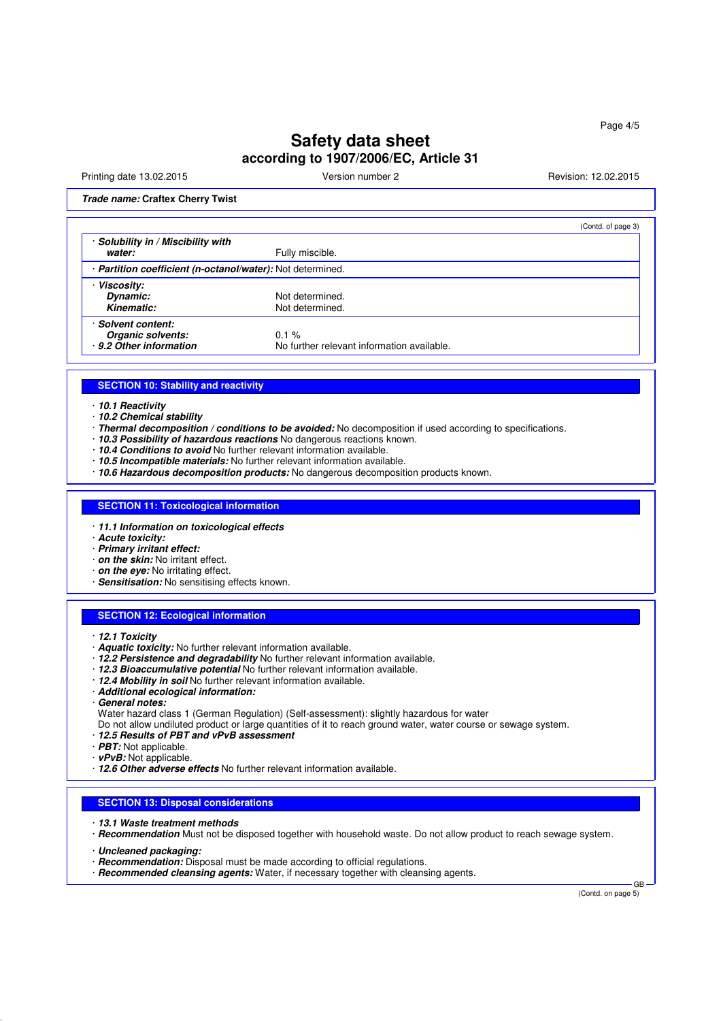# **Safety data sheet according to 1907/2006/EC, Article 31**

Printing date 13.02.2015 Version number 2 Revision: 12.02.2015

### **Trade name: Craftex Cherry Twist**

|                                                                    |                                                        | (Contd. of page 3) |
|--------------------------------------------------------------------|--------------------------------------------------------|--------------------|
| · Solubility in / Miscibility with<br>water:                       | Fully miscible.                                        |                    |
| · Partition coefficient (n-octanol/water): Not determined.         |                                                        |                    |
| · Viscosity:<br>Dynamic:<br>Kinematic:                             | Not determined.<br>Not determined.                     |                    |
| · Solvent content:<br>Organic solvents:<br>· 9.2 Other information | $0.1 \%$<br>No further relevant information available. |                    |

### **SECTION 10: Stability and reactivity**

· **10.1 Reactivity**

- · **10.2 Chemical stability**
- · **Thermal decomposition / conditions to be avoided:** No decomposition if used according to specifications.
- 10.3 Possibility of hazardous reactions No dangerous reactions known.
- · **10.4 Conditions to avoid** No further relevant information available.
- · **10.5 Incompatible materials:** No further relevant information available.
- · **10.6 Hazardous decomposition products:** No dangerous decomposition products known.

### **SECTION 11: Toxicological information**

- · **11.1 Information on toxicological effects**
- · **Acute toxicity:**
- · **Primary irritant effect:**
- · **on the skin:** No irritant effect.
- · **on the eye:** No irritating effect.
- · **Sensitisation:** No sensitising effects known.

### **SECTION 12: Ecological information**

- · **12.1 Toxicity**
- · **Aquatic toxicity:** No further relevant information available.
- · **12.2 Persistence and degradability** No further relevant information available.
- · **12.3 Bioaccumulative potential** No further relevant information available.
- · **12.4 Mobility in soil** No further relevant information available.
- · **Additional ecological information:**
- · **General notes:**
- Water hazard class 1 (German Regulation) (Self-assessment): slightly hazardous for water
- Do not allow undiluted product or large quantities of it to reach ground water, water course or sewage system.
- · **12.5 Results of PBT and vPvB assessment**
- · **PBT:** Not applicable.
- · **vPvB:** Not applicable.
- · **12.6 Other adverse effects** No further relevant information available.

### **SECTION 13: Disposal considerations**

- · **13.1 Waste treatment methods**
- · **Recommendation** Must not be disposed together with household waste. Do not allow product to reach sewage system.
- · **Uncleaned packaging:**
- · **Recommendation:** Disposal must be made according to official regulations.
- · **Recommended cleansing agents:** Water, if necessary together with cleansing agents.

(Contd. on page 5)

GB